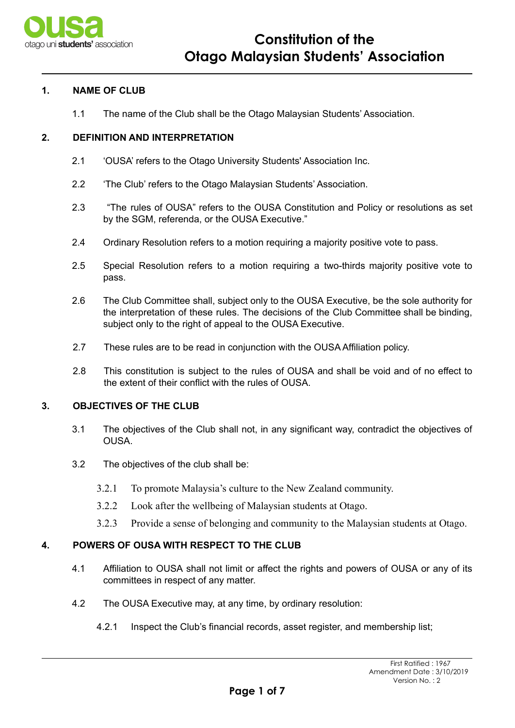

# **1. NAME OF CLUB**

1.1 The name of the Club shall be the Otago Malaysian Students' Association.

## **2. DEFINITION AND INTERPRETATION**

- 2.1 'OUSA' refers to the Otago University Students' Association Inc.
- 2.2 'The Club' refers to the Otago Malaysian Students' Association.
- 2.3 "The rules of OUSA" refers to the OUSA Constitution and Policy or resolutions as set by the SGM, referenda, or the OUSA Executive."
- 2.4 Ordinary Resolution refers to a motion requiring a majority positive vote to pass.
- 2.5 Special Resolution refers to a motion requiring a two-thirds majority positive vote to pass.
- 2.6 The Club Committee shall, subject only to the OUSA Executive, be the sole authority for the interpretation of these rules. The decisions of the Club Committee shall be binding, subject only to the right of appeal to the OUSA Executive.
- 2.7 These rules are to be read in conjunction with the OUSA Affiliation policy.
- 2.8 This constitution is subject to the rules of OUSA and shall be void and of no effect to the extent of their conflict with the rules of OUSA.

## **3. OBJECTIVES OF THE CLUB**

- 3.1 The objectives of the Club shall not, in any significant way, contradict the objectives of OUSA.
- 3.2 The objectives of the club shall be:
	- 3.2.1 To promote Malaysia's culture to the New Zealand community.
	- 3.2.2 Look after the wellbeing of Malaysian students at Otago.
	- 3.2.3 Provide a sense of belonging and community to the Malaysian students at Otago.

# **4. POWERS OF OUSA WITH RESPECT TO THE CLUB**

- 4.1 Affiliation to OUSA shall not limit or affect the rights and powers of OUSA or any of its committees in respect of any matter.
- 4.2 The OUSA Executive may, at any time, by ordinary resolution:
	- 4.2.1 Inspect the Club's financial records, asset register, and membership list;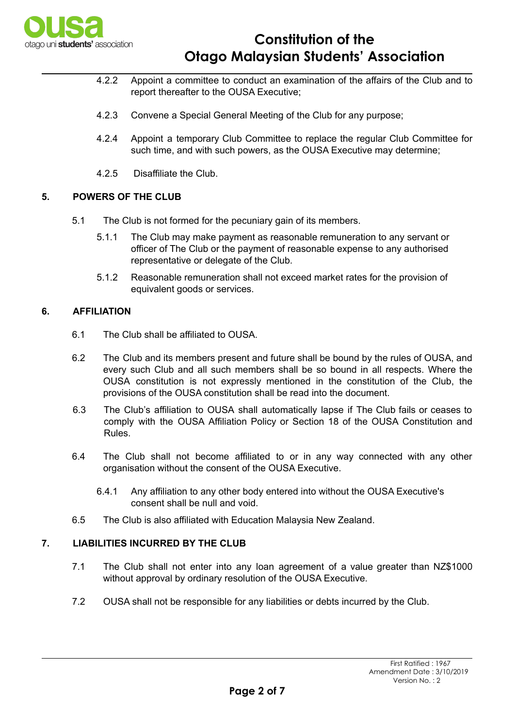

- 4.2.2 Appoint a committee to conduct an examination of the affairs of the Club and to report thereafter to the OUSA Executive;
- 4.2.3 Convene a Special General Meeting of the Club for any purpose;
- 4.2.4 Appoint a temporary Club Committee to replace the regular Club Committee for such time, and with such powers, as the OUSA Executive may determine;
- 4.2.5 Disaffiliate the Club.

## **5. POWERS OF THE CLUB**

- 5.1 The Club is not formed for the pecuniary gain of its members.
	- 5.1.1 The Club may make payment as reasonable remuneration to any servant or officer of The Club or the payment of reasonable expense to any authorised representative or delegate of the Club.
	- 5.1.2 Reasonable remuneration shall not exceed market rates for the provision of equivalent goods or services.

# **6. AFFILIATION**

- 6.1 The Club shall be affiliated to OUSA.
- 6.2 The Club and its members present and future shall be bound by the rules of OUSA, and every such Club and all such members shall be so bound in all respects. Where the OUSA constitution is not expressly mentioned in the constitution of the Club, the provisions of the OUSA constitution shall be read into the document.
- 6.3 The Club's affiliation to OUSA shall automatically lapse if The Club fails or ceases to comply with the OUSA Affiliation Policy or Section 18 of the OUSA Constitution and Rules.
- 6.4 The Club shall not become affiliated to or in any way connected with any other organisation without the consent of the OUSA Executive.
	- 6.4.1 Any affiliation to any other body entered into without the OUSA Executive's consent shall be null and void.
- 6.5 The Club is also affiliated with Education Malaysia New Zealand.

# **7. LIABILITIES INCURRED BY THE CLUB**

- 7.1 The Club shall not enter into any loan agreement of a value greater than NZ\$1000 without approval by ordinary resolution of the OUSA Executive.
- 7.2 OUSA shall not be responsible for any liabilities or debts incurred by the Club.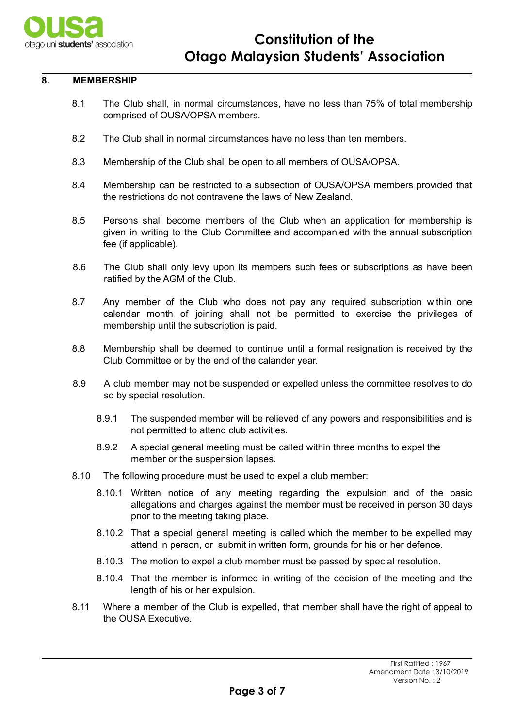

#### **8. MEMBERSHIP**

- 8.1 The Club shall, in normal circumstances, have no less than 75% of total membership comprised of OUSA/OPSA members.
- 8.2 The Club shall in normal circumstances have no less than ten members.
- 8.3 Membership of the Club shall be open to all members of OUSA/OPSA.
- 8.4 Membership can be restricted to a subsection of OUSA/OPSA members provided that the restrictions do not contravene the laws of New Zealand.
- 8.5 Persons shall become members of the Club when an application for membership is given in writing to the Club Committee and accompanied with the annual subscription fee (if applicable).
- 8.6 The Club shall only levy upon its members such fees or subscriptions as have been ratified by the AGM of the Club.
- 8.7 Any member of the Club who does not pay any required subscription within one calendar month of joining shall not be permitted to exercise the privileges of membership until the subscription is paid.
- 8.8 Membership shall be deemed to continue until a formal resignation is received by the Club Committee or by the end of the calander year.
- 8.9 A club member may not be suspended or expelled unless the committee resolves to do so by special resolution.
	- 8.9.1 The suspended member will be relieved of any powers and responsibilities and is not permitted to attend club activities.
	- 8.9.2 A special general meeting must be called within three months to expel the member or the suspension lapses.
- 8.10 The following procedure must be used to expel a club member:
	- 8.10.1 Written notice of any meeting regarding the expulsion and of the basic allegations and charges against the member must be received in person 30 days prior to the meeting taking place.
	- 8.10.2 That a special general meeting is called which the member to be expelled may attend in person, or submit in written form, grounds for his or her defence.
	- 8.10.3 The motion to expel a club member must be passed by special resolution.
	- 8.10.4 That the member is informed in writing of the decision of the meeting and the length of his or her expulsion.
- 8.11 Where a member of the Club is expelled, that member shall have the right of appeal to the OUSA Executive.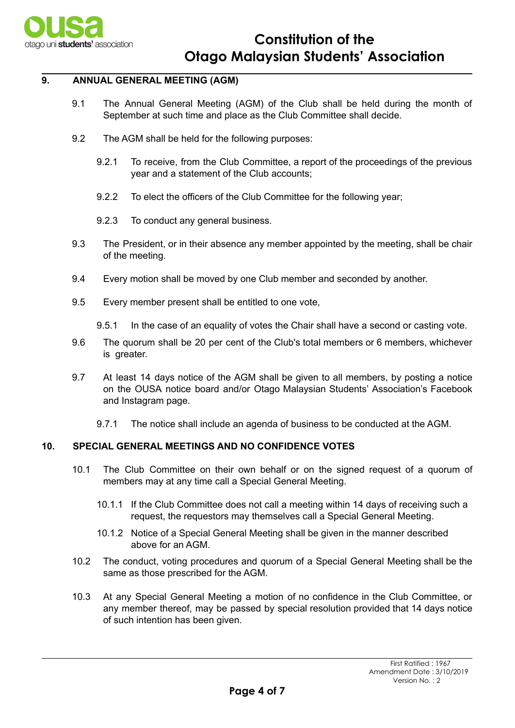

## **9. ANNUAL GENERAL MEETING (AGM)**

- 9.1 The Annual General Meeting (AGM) of the Club shall be held during the month of September at such time and place as the Club Committee shall decide.
- 9.2 The AGM shall be held for the following purposes:
	- 9.2.1 To receive, from the Club Committee, a report of the proceedings of the previous year and a statement of the Club accounts;
	- 9.2.2 To elect the officers of the Club Committee for the following year;
	- 9.2.3 To conduct any general business.
- 9.3 The President, or in their absence any member appointed by the meeting, shall be chair of the meeting.
- 9.4 Every motion shall be moved by one Club member and seconded by another.
- 9.5 Every member present shall be entitled to one vote,
	- 9.5.1 In the case of an equality of votes the Chair shall have a second or casting vote.
- 9.6 The quorum shall be 20 per cent of the Club's total members or 6 members, whichever is greater.
- 9.7 At least 14 days notice of the AGM shall be given to all members, by posting a notice on the OUSA notice board and/or Otago Malaysian Students' Association's Facebook and Instagram page.
	- 9.7.1 The notice shall include an agenda of business to be conducted at the AGM.

# **10. SPECIAL GENERAL MEETINGS AND NO CONFIDENCE VOTES**

- 10.1 The Club Committee on their own behalf or on the signed request of a quorum of members may at any time call a Special General Meeting.
	- 10.1.1 If the Club Committee does not call a meeting within 14 days of receiving such a request, the requestors may themselves call a Special General Meeting.
	- 10.1.2 Notice of a Special General Meeting shall be given in the manner described above for an AGM.
- 10.2 The conduct, voting procedures and quorum of a Special General Meeting shall be the same as those prescribed for the AGM.
- 10.3 At any Special General Meeting a motion of no confidence in the Club Committee, or any member thereof, may be passed by special resolution provided that 14 days notice of such intention has been given.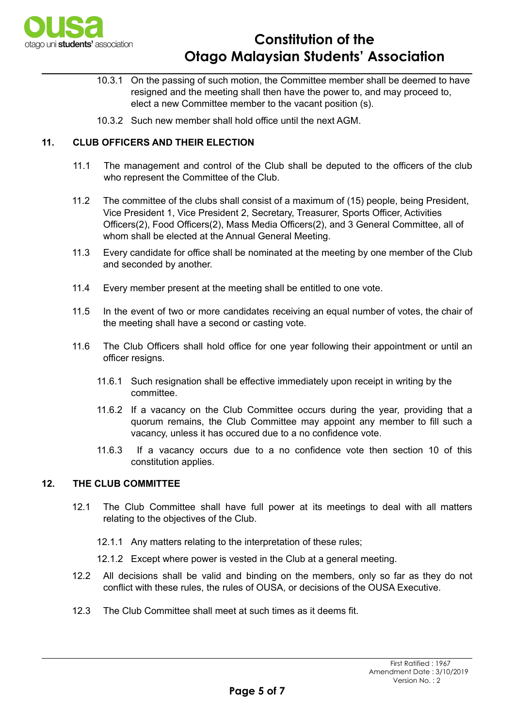

# **Constitution of the Otago Malaysian Students' Association**

- 10.3.1 On the passing of such motion, the Committee member shall be deemed to have resigned and the meeting shall then have the power to, and may proceed to, elect a new Committee member to the vacant position (s).
- 10.3.2 Such new member shall hold office until the next AGM.

# **11. CLUB OFFICERS AND THEIR ELECTION**

- 11.1 The management and control of the Club shall be deputed to the officers of the club who represent the Committee of the Club.
- 11.2 The committee of the clubs shall consist of a maximum of (15) people, being President, Vice President 1, Vice President 2, Secretary, Treasurer, Sports Officer, Activities Officers(2), Food Officers(2), Mass Media Officers(2), and 3 General Committee, all of whom shall be elected at the Annual General Meeting.
- 11.3 Every candidate for office shall be nominated at the meeting by one member of the Club and seconded by another.
- 11.4 Every member present at the meeting shall be entitled to one vote.
- 11.5 In the event of two or more candidates receiving an equal number of votes, the chair of the meeting shall have a second or casting vote.
- 11.6 The Club Officers shall hold office for one year following their appointment or until an officer resigns.
	- 11.6.1 Such resignation shall be effective immediately upon receipt in writing by the committee.
	- 11.6.2 If a vacancy on the Club Committee occurs during the year, providing that a quorum remains, the Club Committee may appoint any member to fill such a vacancy, unless it has occured due to a no confidence vote.
	- 11.6.3 If a vacancy occurs due to a no confidence vote then section 10 of this constitution applies.

## **12. THE CLUB COMMITTEE**

- 12.1 The Club Committee shall have full power at its meetings to deal with all matters relating to the objectives of the Club.
	- 12.1.1 Any matters relating to the interpretation of these rules;
	- 12.1.2 Except where power is vested in the Club at a general meeting.
- 12.2 All decisions shall be valid and binding on the members, only so far as they do not conflict with these rules, the rules of OUSA, or decisions of the OUSA Executive.
- 12.3 The Club Committee shall meet at such times as it deems fit.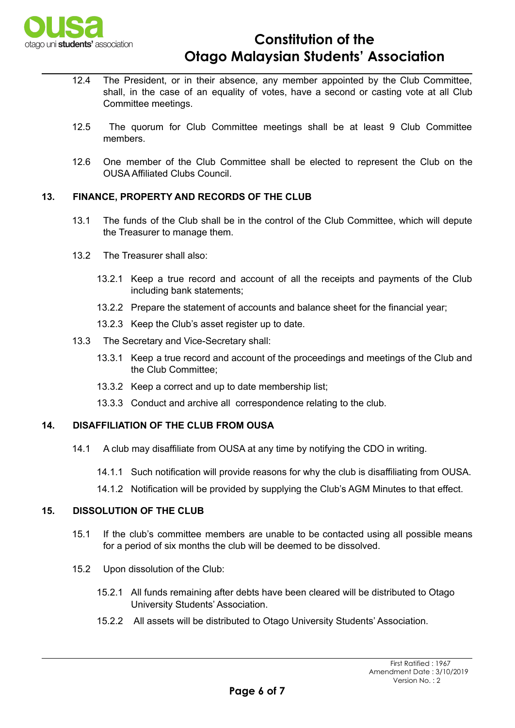

# **Constitution of the Otago Malaysian Students' Association**

- 12.4 The President, or in their absence, any member appointed by the Club Committee, shall, in the case of an equality of votes, have a second or casting vote at all Club Committee meetings.
- 12.5 The quorum for Club Committee meetings shall be at least 9 Club Committee members.
- 12.6 One member of the Club Committee shall be elected to represent the Club on the OUSA Affiliated Clubs Council.

## **13. FINANCE, PROPERTY AND RECORDS OF THE CLUB**

- 13.1 The funds of the Club shall be in the control of the Club Committee, which will depute the Treasurer to manage them.
- 13.2 The Treasurer shall also:
	- 13.2.1 Keep a true record and account of all the receipts and payments of the Club including bank statements;
	- 13.2.2 Prepare the statement of accounts and balance sheet for the financial year;
	- 13.2.3 Keep the Club's asset register up to date.
- 13.3 The Secretary and Vice-Secretary shall:
	- 13.3.1 Keep a true record and account of the proceedings and meetings of the Club and the Club Committee;
	- 13.3.2 Keep a correct and up to date membership list;
	- 13.3.3 Conduct and archive all correspondence relating to the club.

## **14. DISAFFILIATION OF THE CLUB FROM OUSA**

- 14.1 A club may disaffiliate from OUSA at any time by notifying the CDO in writing.
	- 14.1.1 Such notification will provide reasons for why the club is disaffiliating from OUSA.
	- 14.1.2 Notification will be provided by supplying the Club's AGM Minutes to that effect.

# **15. DISSOLUTION OF THE CLUB**

- 15.1 If the club's committee members are unable to be contacted using all possible means for a period of six months the club will be deemed to be dissolved.
- 15.2 Upon dissolution of the Club:
	- 15.2.1 All funds remaining after debts have been cleared will be distributed to Otago University Students' Association.
	- 15.2.2 All assets will be distributed to Otago University Students' Association.